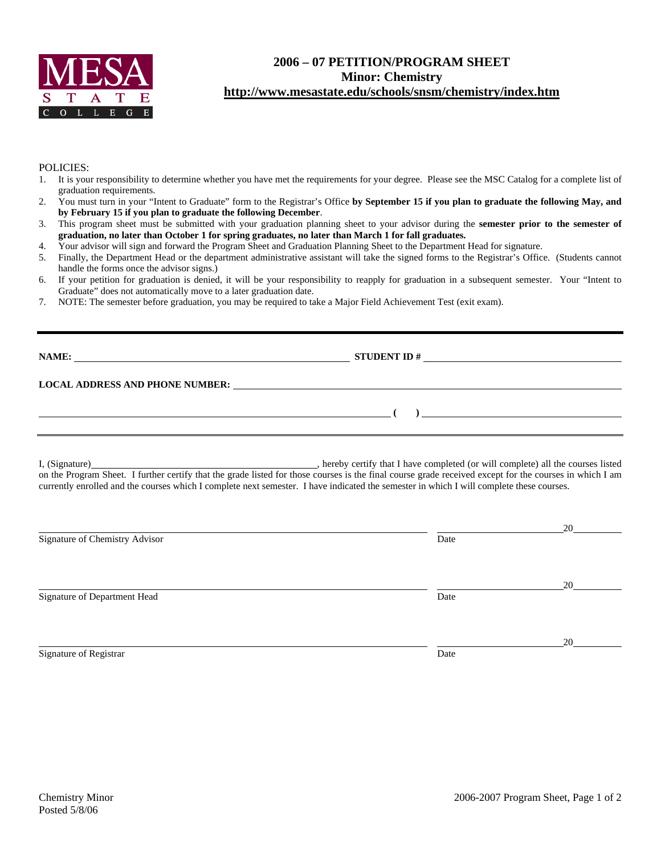

## **2006 – 07 PETITION/PROGRAM SHEET Minor: Chemistry http://www.mesastate.edu/schools/snsm/chemistry/index.htm**

### POLICIES:

- 1. It is your responsibility to determine whether you have met the requirements for your degree. Please see the MSC Catalog for a complete list of graduation requirements.
- 2. You must turn in your "Intent to Graduate" form to the Registrar's Office **by September 15 if you plan to graduate the following May, and by February 15 if you plan to graduate the following December**.
- 3. This program sheet must be submitted with your graduation planning sheet to your advisor during the **semester prior to the semester of graduation, no later than October 1 for spring graduates, no later than March 1 for fall graduates.**
- 4. Your advisor will sign and forward the Program Sheet and Graduation Planning Sheet to the Department Head for signature.
- 5. Finally, the Department Head or the department administrative assistant will take the signed forms to the Registrar's Office. (Students cannot handle the forms once the advisor signs.)
- 6. If your petition for graduation is denied, it will be your responsibility to reapply for graduation in a subsequent semester. Your "Intent to Graduate" does not automatically move to a later graduation date.
- 7. NOTE: The semester before graduation, you may be required to take a Major Field Achievement Test (exit exam).

# **NAME: STUDENT ID # STUDENT ID #**

 **( )** 

### **LOCAL ADDRESS AND PHONE NUMBER:**

I, (Signature) **Solution** , hereby certify that I have completed (or will complete) all the courses listed on the Program Sheet. I further certify that the grade listed for those courses is the final course grade received except for the courses in which I am currently enrolled and the courses which I complete next semester. I have indicated the semester in which I will complete these courses.

|                                |      | 20 |
|--------------------------------|------|----|
| Signature of Chemistry Advisor | Date |    |
|                                |      |    |
| Signature of Department Head   | Date | 20 |
|                                |      | 20 |
| Signature of Registrar         | Date |    |